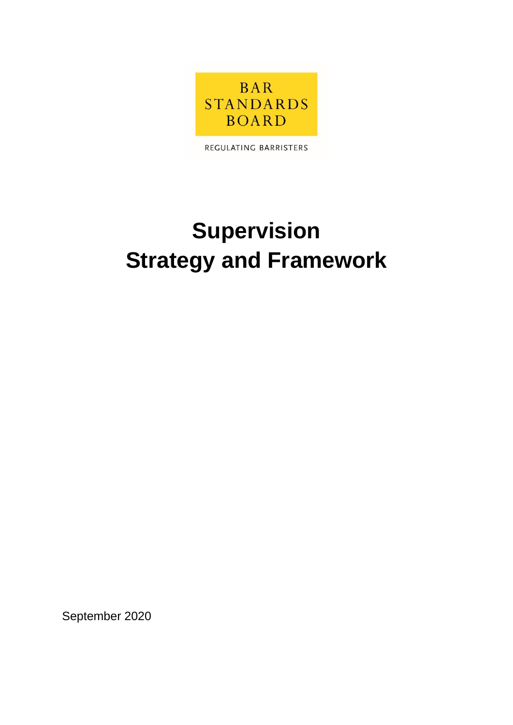

REGULATING BARRISTERS

# **Supervision Strategy and Framework**

September 2020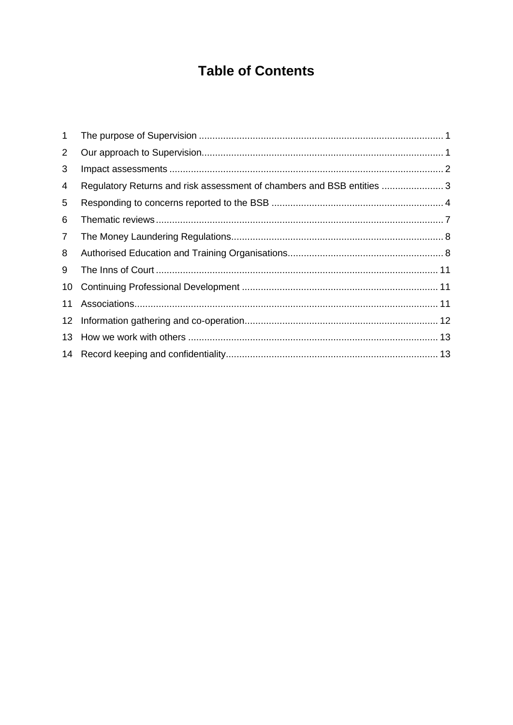## **Table of Contents**

| 1              |                                                                        |  |
|----------------|------------------------------------------------------------------------|--|
| $\overline{2}$ |                                                                        |  |
| 3              |                                                                        |  |
| 4              | Regulatory Returns and risk assessment of chambers and BSB entities  3 |  |
| 5              |                                                                        |  |
| 6              |                                                                        |  |
| $\overline{7}$ |                                                                        |  |
| 8              |                                                                        |  |
| 9              |                                                                        |  |
| 10             |                                                                        |  |
| 11             |                                                                        |  |
| 12             |                                                                        |  |
| 13             |                                                                        |  |
|                |                                                                        |  |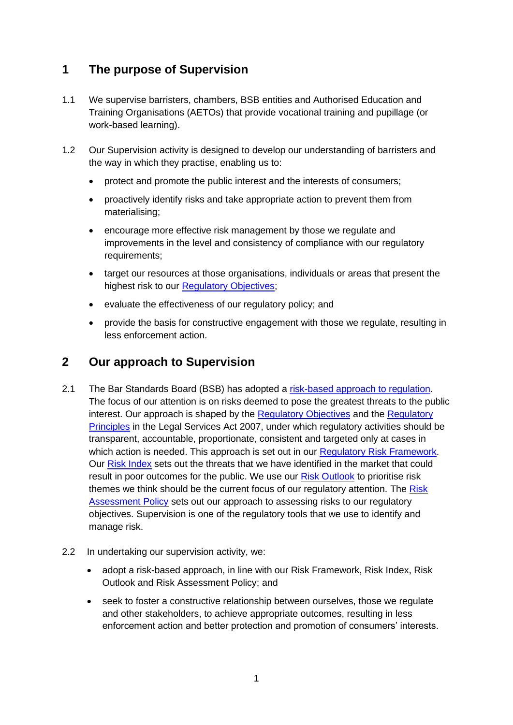## <span id="page-2-0"></span>**1 The purpose of Supervision**

- 1.1 We supervise barristers, chambers, BSB entities and Authorised Education and Training Organisations (AETOs) that provide vocational training and pupillage (or work-based learning).
- 1.2 Our Supervision activity is designed to develop our understanding of barristers and the way in which they practise, enabling us to:
	- protect and promote the public interest and the interests of consumers;
	- proactively identify risks and take appropriate action to prevent them from materialising;
	- encourage more effective risk management by those we regulate and improvements in the level and consistency of compliance with our regulatory requirements;
	- target our resources at those organisations, individuals or areas that present the highest risk to our [Regulatory Objectives;](https://www.barstandardsboard.org.uk/about-us/what-we-do.html)
	- evaluate the effectiveness of our regulatory policy; and
	- provide the basis for constructive engagement with those we regulate, resulting in less enforcement action.

## <span id="page-2-1"></span>**2 Our approach to Supervision**

- 2.1 The Bar Standards Board (BSB) has adopted a [risk-based approach to regulation.](https://www.barstandardsboard.org.uk/about-us/how-we-regulate/our-risk-based-approach.html) The focus of our attention is on risks deemed to pose the greatest threats to the public interest. Our approach is shaped by the [Regulatory Objectives](https://www.legislation.gov.uk/ukpga/2007/29/section/1) and the [Regulatory](https://www.legislation.gov.uk/ukpga/2007/29/section/28)  [Principles](https://www.legislation.gov.uk/ukpga/2007/29/section/28) in the Legal Services Act 2007, under which regulatory activities should be transparent, accountable, proportionate, consistent and targeted only at cases in which action is needed. This approach is set out in our [Regulatory Risk Framework.](https://www.barstandardsboard.org.uk/about-us/how-we-regulate/our-risk-based-approach/risk-framework.html) Our [Risk Index](https://www.barstandardsboard.org.uk/about-us/how-we-regulate/our-risk-based-approach/risk-index.html) sets out the threats that we have identified in the market that could result in poor outcomes for the public. We use our [Risk Outlook](https://www.barstandardsboard.org.uk/about-us/how-we-regulate/our-risk-based-approach/our-risk-outlook.html) to prioritise risk themes we think should be the current focus of our regulatory attention. The [Risk](https://www.barstandardsboard.org.uk/about-us/how-we-regulate/our-risk-based-approach/risk-assessment-policy.html)  [Assessment Policy](https://www.barstandardsboard.org.uk/about-us/how-we-regulate/our-risk-based-approach/risk-assessment-policy.html) sets out our approach to assessing risks to our regulatory objectives. Supervision is one of the regulatory tools that we use to identify and manage risk.
- 2.2 In undertaking our supervision activity, we:
	- adopt a risk-based approach, in line with our Risk Framework, Risk Index, Risk Outlook and Risk Assessment Policy; and
	- seek to foster a constructive relationship between ourselves, those we regulate and other stakeholders, to achieve appropriate outcomes, resulting in less enforcement action and better protection and promotion of consumers' interests.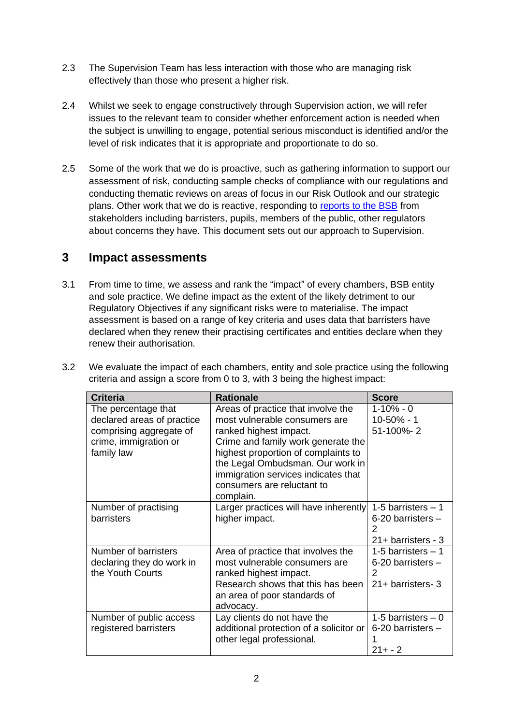- 2.3 The Supervision Team has less interaction with those who are managing risk effectively than those who present a higher risk.
- 2.4 Whilst we seek to engage constructively through Supervision action, we will refer issues to the relevant team to consider whether enforcement action is needed when the subject is unwilling to engage, potential serious misconduct is identified and/or the level of risk indicates that it is appropriate and proportionate to do so.
- 2.5 Some of the work that we do is proactive, such as gathering information to support our assessment of risk, conducting sample checks of compliance with our regulations and conducting thematic reviews on areas of focus in our Risk Outlook and our strategic plans. Other work that we do is reactive, responding to [reports to the BSB](https://www.barstandardsboard.org.uk/for-the-public/reporting-concerns.html) from stakeholders including barristers, pupils, members of the public, other regulators about concerns they have. This document sets out our approach to Supervision.

#### <span id="page-3-0"></span>**3 Impact assessments**

3.1 From time to time, we assess and rank the "impact" of every chambers, BSB entity and sole practice. We define impact as the extent of the likely detriment to our Regulatory Objectives if any significant risks were to materialise. The impact assessment is based on a range of key criteria and uses data that barristers have declared when they renew their practising certificates and entities declare when they renew their authorisation.

| <b>Criteria</b>                                                                                                     | <b>Rationale</b>                                                                                                                                                                                                                                                                                 | <b>Score</b>                                                         |
|---------------------------------------------------------------------------------------------------------------------|--------------------------------------------------------------------------------------------------------------------------------------------------------------------------------------------------------------------------------------------------------------------------------------------------|----------------------------------------------------------------------|
| The percentage that<br>declared areas of practice<br>comprising aggregate of<br>crime, immigration or<br>family law | Areas of practice that involve the<br>most vulnerable consumers are<br>ranked highest impact.<br>Crime and family work generate the<br>highest proportion of complaints to<br>the Legal Ombudsman. Our work in<br>immigration services indicates that<br>consumers are reluctant to<br>complain. | $1 - 10\% - 0$<br>$10 - 50\% - 1$<br>51-100%-2                       |
| Number of practising<br>barristers                                                                                  | Larger practices will have inherently<br>higher impact.                                                                                                                                                                                                                                          | 1-5 barristers $-1$<br>$6-20$ barristers $-$<br>21+ barristers - 3   |
| Number of barristers<br>declaring they do work in<br>the Youth Courts                                               | Area of practice that involves the<br>most vulnerable consumers are<br>ranked highest impact.<br>Research shows that this has been<br>an area of poor standards of<br>advocacy.                                                                                                                  | 1-5 barristers $-1$<br>6-20 barristers -<br>2<br>$21+$ barristers- 3 |
| Number of public access<br>registered barristers                                                                    | Lay clients do not have the<br>additional protection of a solicitor or<br>other legal professional.                                                                                                                                                                                              | 1-5 barristers $-0$<br>$6-20$ barristers $-$<br>$21 + - 2$           |

3.2 We evaluate the impact of each chambers, entity and sole practice using the following criteria and assign a score from 0 to 3, with 3 being the highest impact: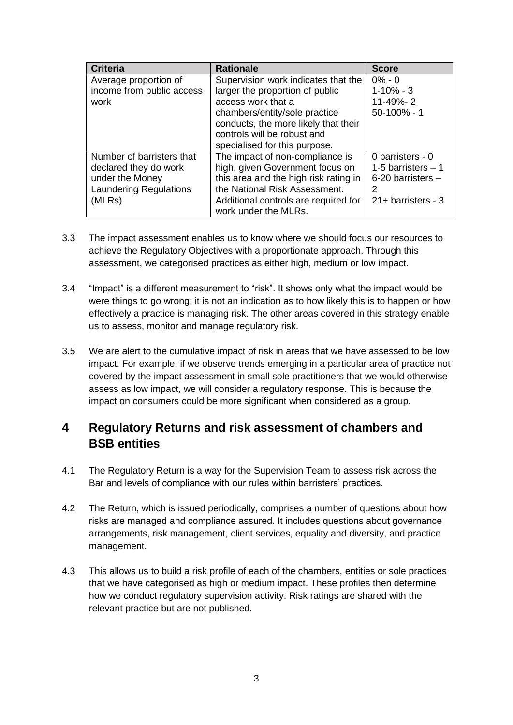| <b>Criteria</b>               | <b>Rationale</b>                      | <b>Score</b>          |
|-------------------------------|---------------------------------------|-----------------------|
| Average proportion of         | Supervision work indicates that the   | $0\% - 0$             |
| income from public access     | larger the proportion of public       | $1 - 10\% - 3$        |
| work                          | access work that a                    | 11-49%-2              |
|                               | chambers/entity/sole practice         | $50-100% - 1$         |
|                               | conducts, the more likely that their  |                       |
|                               | controls will be robust and           |                       |
|                               | specialised for this purpose.         |                       |
| Number of barristers that     | The impact of non-compliance is       | 0 barristers - 0      |
| declared they do work         | high, given Government focus on       | 1-5 barristers $-1$   |
| under the Money               | this area and the high risk rating in | $6-20$ barristers $-$ |
| <b>Laundering Regulations</b> | the National Risk Assessment.         | 2                     |
| (MLRs)                        | Additional controls are required for  | 21+ barristers - 3    |
|                               | work under the MLRs.                  |                       |

- 3.3 The impact assessment enables us to know where we should focus our resources to achieve the Regulatory Objectives with a proportionate approach. Through this assessment, we categorised practices as either high, medium or low impact.
- 3.4 "Impact" is a different measurement to "risk". It shows only what the impact would be were things to go wrong; it is not an indication as to how likely this is to happen or how effectively a practice is managing risk. The other areas covered in this strategy enable us to assess, monitor and manage regulatory risk.
- 3.5 We are alert to the cumulative impact of risk in areas that we have assessed to be low impact. For example, if we observe trends emerging in a particular area of practice not covered by the impact assessment in small sole practitioners that we would otherwise assess as low impact, we will consider a regulatory response. This is because the impact on consumers could be more significant when considered as a group.

## <span id="page-4-0"></span>**4 Regulatory Returns and risk assessment of chambers and BSB entities**

- 4.1 The Regulatory Return is a way for the Supervision Team to assess risk across the Bar and levels of compliance with our rules within barristers' practices.
- 4.2 The Return, which is issued periodically, comprises a number of questions about how risks are managed and compliance assured. It includes questions about governance arrangements, risk management, client services, equality and diversity, and practice management.
- 4.3 This allows us to build a risk profile of each of the chambers, entities or sole practices that we have categorised as high or medium impact. These profiles then determine how we conduct regulatory supervision activity. Risk ratings are shared with the relevant practice but are not published.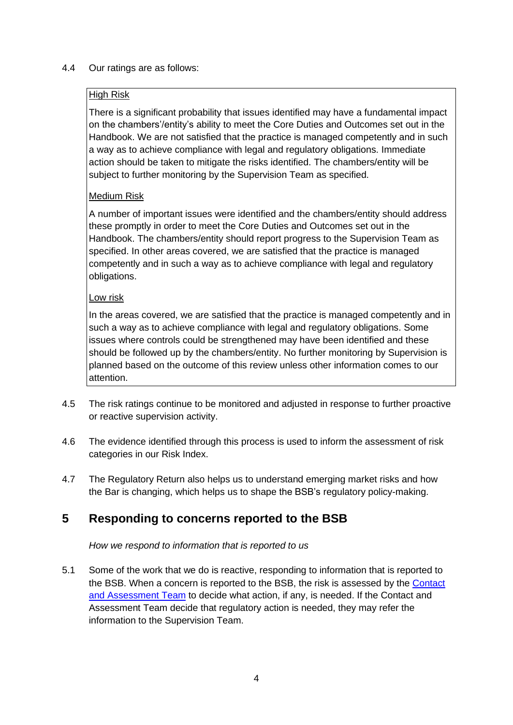#### 4.4 Our ratings are as follows:

#### High Risk

There is a significant probability that issues identified may have a fundamental impact on the chambers'/entity's ability to meet the Core Duties and Outcomes set out in the Handbook. We are not satisfied that the practice is managed competently and in such a way as to achieve compliance with legal and regulatory obligations. Immediate action should be taken to mitigate the risks identified. The chambers/entity will be subject to further monitoring by the Supervision Team as specified.

#### Medium Risk

A number of important issues were identified and the chambers/entity should address these promptly in order to meet the Core Duties and Outcomes set out in the Handbook. The chambers/entity should report progress to the Supervision Team as specified. In other areas covered, we are satisfied that the practice is managed competently and in such a way as to achieve compliance with legal and regulatory obligations.

#### Low risk

In the areas covered, we are satisfied that the practice is managed competently and in such a way as to achieve compliance with legal and regulatory obligations. Some issues where controls could be strengthened may have been identified and these should be followed up by the chambers/entity. No further monitoring by Supervision is planned based on the outcome of this review unless other information comes to our attention.

- 4.5 The risk ratings continue to be monitored and adjusted in response to further proactive or reactive supervision activity.
- 4.6 The evidence identified through this process is used to inform the assessment of risk categories in our Risk Index.
- 4.7 The Regulatory Return also helps us to understand emerging market risks and how the Bar is changing, which helps us to shape the BSB's regulatory policy-making.

## <span id="page-5-0"></span>**5 Responding to concerns reported to the BSB**

*How we respond to information that is reported to us*

5.1 Some of the work that we do is reactive, responding to information that is reported to the BSB. When a concern is reported to the BSB, the risk is assessed by the [Contact](https://www.barstandardsboard.org.uk/for-the-public/reporting-concerns.html)  [and Assessment Team](https://www.barstandardsboard.org.uk/for-the-public/reporting-concerns.html) to decide what action, if any, is needed. If the Contact and Assessment Team decide that regulatory action is needed, they may refer the information to the Supervision Team.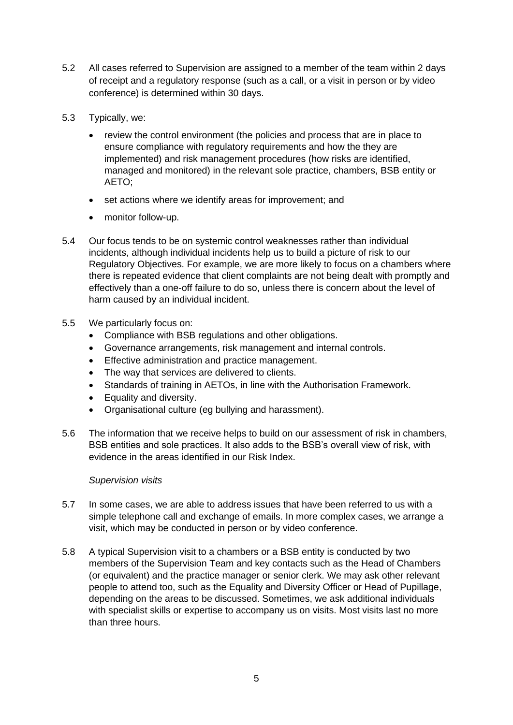- 5.2 All cases referred to Supervision are assigned to a member of the team within 2 days of receipt and a regulatory response (such as a call, or a visit in person or by video conference) is determined within 30 days.
- 5.3 Typically, we:
	- review the control environment (the policies and process that are in place to ensure compliance with regulatory requirements and how the they are implemented) and risk management procedures (how risks are identified, managed and monitored) in the relevant sole practice, chambers, BSB entity or AETO;
	- set actions where we identify areas for improvement; and
	- monitor follow-up.
- 5.4 Our focus tends to be on systemic control weaknesses rather than individual incidents, although individual incidents help us to build a picture of risk to our Regulatory Objectives. For example, we are more likely to focus on a chambers where there is repeated evidence that client complaints are not being dealt with promptly and effectively than a one-off failure to do so, unless there is concern about the level of harm caused by an individual incident.
- 5.5 We particularly focus on:
	- Compliance with BSB regulations and other obligations.
	- Governance arrangements, risk management and internal controls.
	- Effective administration and practice management.
	- The way that services are delivered to clients.
	- Standards of training in AETOs, in line with the Authorisation Framework.
	- Equality and diversity.
	- Organisational culture (eg bullying and harassment).
- 5.6 The information that we receive helps to build on our assessment of risk in chambers, BSB entities and sole practices. It also adds to the BSB's overall view of risk, with evidence in the areas identified in our Risk Index.

#### *Supervision visits*

- 5.7 In some cases, we are able to address issues that have been referred to us with a simple telephone call and exchange of emails. In more complex cases, we arrange a visit, which may be conducted in person or by video conference.
- 5.8 A typical Supervision visit to a chambers or a BSB entity is conducted by two members of the Supervision Team and key contacts such as the Head of Chambers (or equivalent) and the practice manager or senior clerk. We may ask other relevant people to attend too, such as the Equality and Diversity Officer or Head of Pupillage, depending on the areas to be discussed. Sometimes, we ask additional individuals with specialist skills or expertise to accompany us on visits. Most visits last no more than three hours.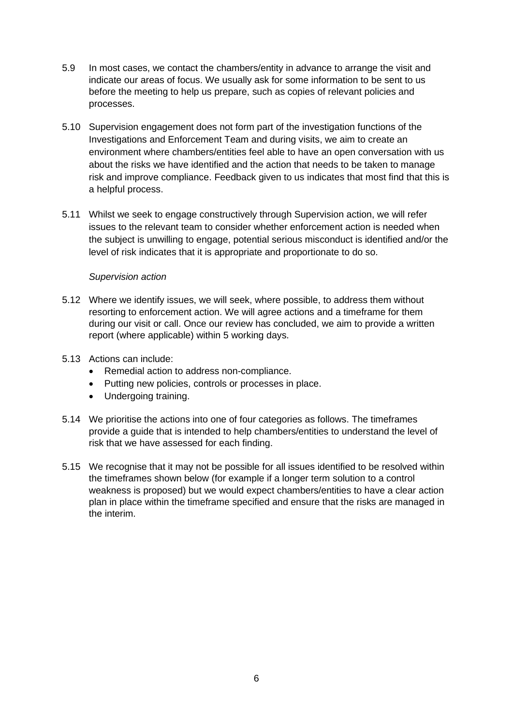- 5.9 In most cases, we contact the chambers/entity in advance to arrange the visit and indicate our areas of focus. We usually ask for some information to be sent to us before the meeting to help us prepare, such as copies of relevant policies and processes.
- 5.10 Supervision engagement does not form part of the investigation functions of the Investigations and Enforcement Team and during visits, we aim to create an environment where chambers/entities feel able to have an open conversation with us about the risks we have identified and the action that needs to be taken to manage risk and improve compliance. Feedback given to us indicates that most find that this is a helpful process.
- 5.11 Whilst we seek to engage constructively through Supervision action, we will refer issues to the relevant team to consider whether enforcement action is needed when the subject is unwilling to engage, potential serious misconduct is identified and/or the level of risk indicates that it is appropriate and proportionate to do so.

#### *Supervision action*

- 5.12 Where we identify issues, we will seek, where possible, to address them without resorting to enforcement action. We will agree actions and a timeframe for them during our visit or call. Once our review has concluded, we aim to provide a written report (where applicable) within 5 working days.
- 5.13 Actions can include:
	- Remedial action to address non-compliance.
	- Putting new policies, controls or processes in place.
	- Undergoing training.
- 5.14 We prioritise the actions into one of four categories as follows. The timeframes provide a guide that is intended to help chambers/entities to understand the level of risk that we have assessed for each finding.
- 5.15 We recognise that it may not be possible for all issues identified to be resolved within the timeframes shown below (for example if a longer term solution to a control weakness is proposed) but we would expect chambers/entities to have a clear action plan in place within the timeframe specified and ensure that the risks are managed in the interim.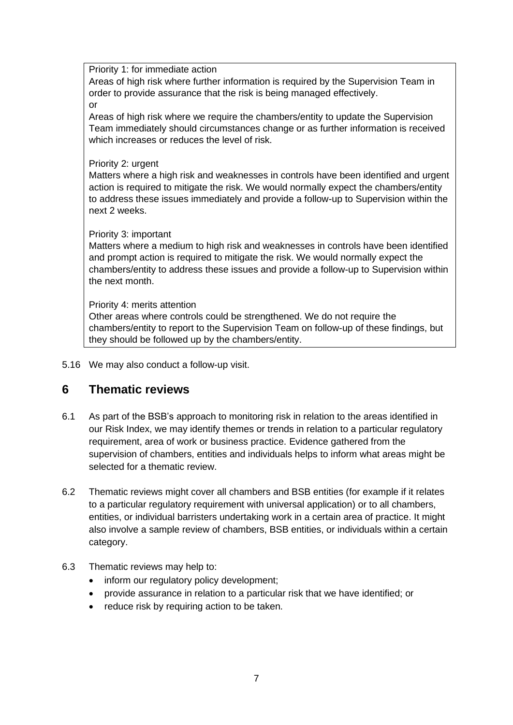Priority 1: for immediate action

Areas of high risk where further information is required by the Supervision Team in order to provide assurance that the risk is being managed effectively. or

Areas of high risk where we require the chambers/entity to update the Supervision Team immediately should circumstances change or as further information is received which increases or reduces the level of risk.

Priority 2: urgent

Matters where a high risk and weaknesses in controls have been identified and urgent action is required to mitigate the risk. We would normally expect the chambers/entity to address these issues immediately and provide a follow-up to Supervision within the next 2 weeks.

Priority 3: important

Matters where a medium to high risk and weaknesses in controls have been identified and prompt action is required to mitigate the risk. We would normally expect the chambers/entity to address these issues and provide a follow-up to Supervision within the next month.

#### Priority 4: merits attention

Other areas where controls could be strengthened. We do not require the chambers/entity to report to the Supervision Team on follow-up of these findings, but they should be followed up by the chambers/entity.

5.16 We may also conduct a follow-up visit.

## <span id="page-8-0"></span>**6 Thematic reviews**

- 6.1 As part of the BSB's approach to monitoring risk in relation to the areas identified in our Risk Index, we may identify themes or trends in relation to a particular regulatory requirement, area of work or business practice. Evidence gathered from the supervision of chambers, entities and individuals helps to inform what areas might be selected for a thematic review.
- 6.2 Thematic reviews might cover all chambers and BSB entities (for example if it relates to a particular regulatory requirement with universal application) or to all chambers, entities, or individual barristers undertaking work in a certain area of practice. It might also involve a sample review of chambers, BSB entities, or individuals within a certain category.
- 6.3 Thematic reviews may help to:
	- inform our regulatory policy development;
	- provide assurance in relation to a particular risk that we have identified; or
	- reduce risk by requiring action to be taken.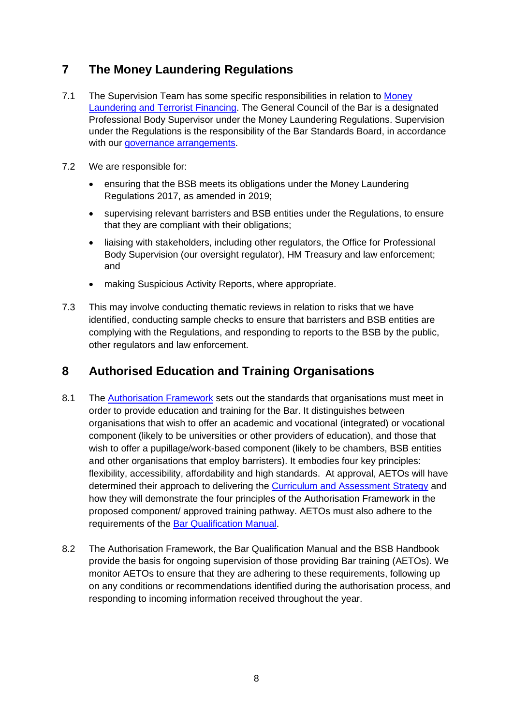## <span id="page-9-0"></span>**7 The Money Laundering Regulations**

- 7.1 The Supervision Team has some specific responsibilities in relation to Money [Laundering and Terrorist Financing.](https://www.barstandardsboard.org.uk/for-barristers/compliance-with-your-obligations/anti-money-laundering-counter-terrorist-financing.html) The General Council of the Bar is a designated Professional Body Supervisor under the Money Laundering Regulations. Supervision under the Regulations is the responsibility of the Bar Standards Board, in accordance with our [governance arrangements.](https://www.barstandardsboard.org.uk/about-us/how-we-regulate/our-governance/governance-documents.html)
- 7.2 We are responsible for:
	- ensuring that the BSB meets its obligations under the Money Laundering Regulations 2017, as amended in 2019;
	- supervising relevant barristers and BSB entities under the Regulations, to ensure that they are compliant with their obligations;
	- liaising with stakeholders, including other regulators, the Office for Professional Body Supervision (our oversight regulator), HM Treasury and law enforcement; and
	- making Suspicious Activity Reports, where appropriate.
- 7.3 This may involve conducting thematic reviews in relation to risks that we have identified, conducting sample checks to ensure that barristers and BSB entities are complying with the Regulations, and responding to reports to the BSB by the public, other regulators and law enforcement.

## <span id="page-9-1"></span>**8 Authorised Education and Training Organisations**

- 8.1 The [Authorisation Framework](https://www.barstandardsboard.org.uk/training-qualification/information-for-aetos/the-authorisation-framework.html) sets out the standards that organisations must meet in order to provide education and training for the Bar. It distinguishes between organisations that wish to offer an academic and vocational (integrated) or vocational component (likely to be universities or other providers of education), and those that wish to offer a pupillage/work-based component (likely to be chambers, BSB entities and other organisations that employ barristers). It embodies four key principles: flexibility, accessibility, affordability and high standards. At approval, AETOs will have determined their approach to delivering the [Curriculum and Assessment Strategy](https://www.barstandardsboard.org.uk/training-qualification/information-for-aetos/curriculum-and-assessment-strategy.html) and how they will demonstrate the four principles of the Authorisation Framework in the proposed component/ approved training pathway. AETOs must also adhere to the requirements of the [Bar Qualification Manual.](https://www.barstandardsboard.org.uk/training-qualification/bar-qualification-manual.html)
- 8.2 The Authorisation Framework, the Bar Qualification Manual and the BSB Handbook provide the basis for ongoing supervision of those providing Bar training (AETOs). We monitor AETOs to ensure that they are adhering to these requirements, following up on any conditions or recommendations identified during the authorisation process, and responding to incoming information received throughout the year.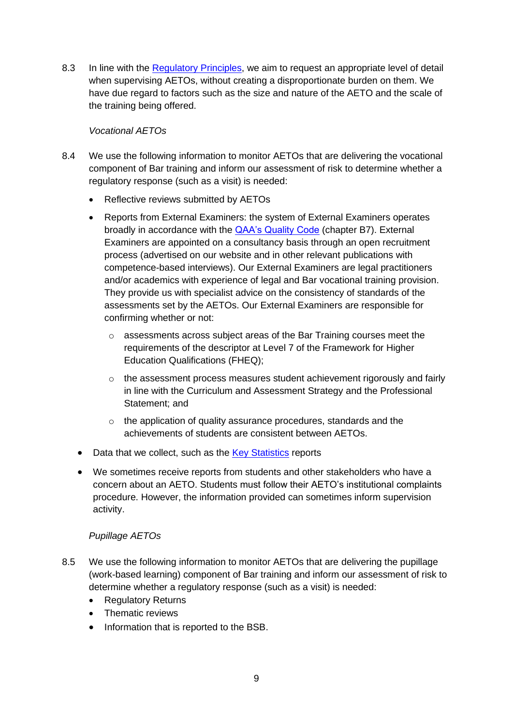8.3 In line with the [Regulatory Principles,](https://www.legislation.gov.uk/ukpga/2007/29/section/28) we aim to request an appropriate level of detail when supervising AETOs, without creating a disproportionate burden on them. We have due regard to factors such as the size and nature of the AETO and the scale of the training being offered.

#### *Vocational AETOs*

- 8.4 We use the following information to monitor AETOs that are delivering the vocational component of Bar training and inform our assessment of risk to determine whether a regulatory response (such as a visit) is needed:
	- Reflective reviews submitted by AETOs
	- Reports from External Examiners: the system of External Examiners operates broadly in accordance with the [QAA's Quality Code](https://www.qaa.ac.uk/docs/qaa/quality-code/chapter-b7_-external-examining.pdf?sfvrsn=2101f781_8) (chapter B7). External Examiners are appointed on a consultancy basis through an open recruitment process (advertised on our website and in other relevant publications with competence-based interviews). Our External Examiners are legal practitioners and/or academics with experience of legal and Bar vocational training provision. They provide us with specialist advice on the consistency of standards of the assessments set by the AETOs. Our External Examiners are responsible for confirming whether or not:
		- o assessments across subject areas of the Bar Training courses meet the requirements of the descriptor at Level 7 of the Framework for Higher Education Qualifications (FHEQ);
		- o the assessment process measures student achievement rigorously and fairly in line with the Curriculum and Assessment Strategy and the Professional Statement; and
		- o the application of quality assurance procedures, standards and the achievements of students are consistent between AETOs.
	- Data that we collect, such as the [Key Statistics](https://www.barstandardsboard.org.uk/news-publications/research-and-statistics/bsb-research-reports/regular-research-publications.html) reports
	- We sometimes receive reports from students and other stakeholders who have a concern about an AETO. Students must follow their AETO's institutional complaints procedure. However, the information provided can sometimes inform supervision activity.

#### *Pupillage AETOs*

- 8.5 We use the following information to monitor AETOs that are delivering the pupillage (work-based learning) component of Bar training and inform our assessment of risk to determine whether a regulatory response (such as a visit) is needed:
	- Regulatory Returns
	- Thematic reviews
	- Information that is reported to the BSB.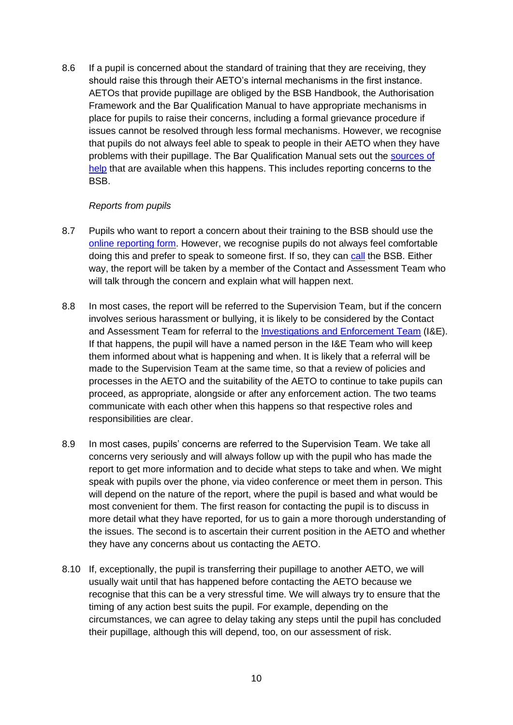8.6 If a pupil is concerned about the standard of training that they are receiving, they should raise this through their AETO's internal mechanisms in the first instance. AETOs that provide pupillage are obliged by the BSB Handbook, the Authorisation Framework and the Bar Qualification Manual to have appropriate mechanisms in place for pupils to raise their concerns, including a formal grievance procedure if issues cannot be resolved through less formal mechanisms. However, we recognise that pupils do not always feel able to speak to people in their AETO when they have problems with their pupillage. The Bar Qualification Manual sets out the [sources of](https://www.barstandardsboard.org.uk/training-qualification/bar-qualification-manual/part-2-for-students-pupils--transferring-lawyers/c8-support-and-advice-for-pupils.html)  [help](https://www.barstandardsboard.org.uk/training-qualification/bar-qualification-manual/part-2-for-students-pupils--transferring-lawyers/c8-support-and-advice-for-pupils.html) that are available when this happens. This includes reporting concerns to the BSB.

#### *Reports from pupils*

- 8.7 Pupils who want to report a concern about their training to the BSB should use the [online reporting form.](https://www.barstandardsboard.org.uk/for-the-public/reporting-concerns.html) However, we recognise pupils do not always feel comfortable doing this and prefer to speak to someone first. If so, they can [call](https://www.barstandardsboard.org.uk/for-the-public/reporting-concerns.html) the BSB. Either way, the report will be taken by a member of the Contact and Assessment Team who will talk through the concern and explain what will happen next.
- 8.8 In most cases, the report will be referred to the Supervision Team, but if the concern involves serious harassment or bullying, it is likely to be considered by the Contact and Assessment Team for referral to the [Investigations and Enforcement](https://www.barstandardsboard.org.uk/about-us/how-we-regulate/the-decisions-we-take/enforcement-decisions/how-we-make-enforcement-decisions.html) Team (I&E). If that happens, the pupil will have a named person in the I&E Team who will keep them informed about what is happening and when. It is likely that a referral will be made to the Supervision Team at the same time, so that a review of policies and processes in the AETO and the suitability of the AETO to continue to take pupils can proceed, as appropriate, alongside or after any enforcement action. The two teams communicate with each other when this happens so that respective roles and responsibilities are clear.
- 8.9 In most cases, pupils' concerns are referred to the Supervision Team. We take all concerns very seriously and will always follow up with the pupil who has made the report to get more information and to decide what steps to take and when. We might speak with pupils over the phone, via video conference or meet them in person. This will depend on the nature of the report, where the pupil is based and what would be most convenient for them. The first reason for contacting the pupil is to discuss in more detail what they have reported, for us to gain a more thorough understanding of the issues. The second is to ascertain their current position in the AETO and whether they have any concerns about us contacting the AETO.
- 8.10 If, exceptionally, the pupil is transferring their pupillage to another AETO, we will usually wait until that has happened before contacting the AETO because we recognise that this can be a very stressful time. We will always try to ensure that the timing of any action best suits the pupil. For example, depending on the circumstances, we can agree to delay taking any steps until the pupil has concluded their pupillage, although this will depend, too, on our assessment of risk.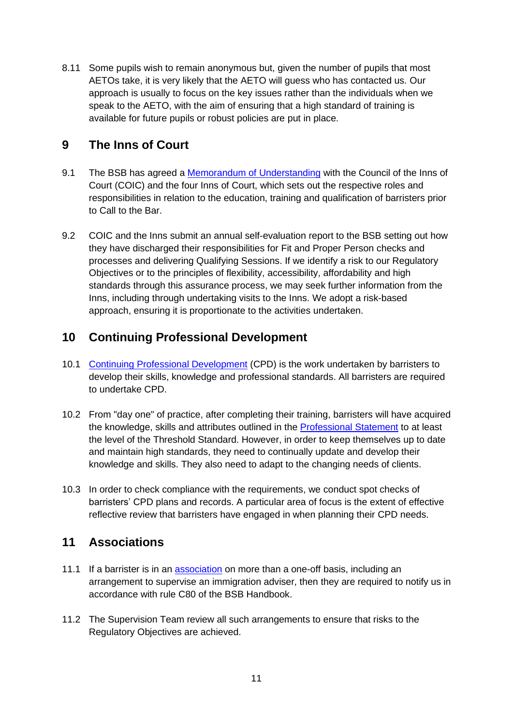8.11 Some pupils wish to remain anonymous but, given the number of pupils that most AETOs take, it is very likely that the AETO will guess who has contacted us. Our approach is usually to focus on the key issues rather than the individuals when we speak to the AETO, with the aim of ensuring that a high standard of training is available for future pupils or robust policies are put in place.

## <span id="page-12-0"></span>**9 The Inns of Court**

- 9.1 The BSB has agreed a [Memorandum of Understanding](https://www.barstandardsboard.org.uk/about-us/working-with-others.html) with the Council of the Inns of Court (COIC) and the four Inns of Court, which sets out the respective roles and responsibilities in relation to the education, training and qualification of barristers prior to Call to the Bar.
- 9.2 COIC and the Inns submit an annual self-evaluation report to the BSB setting out how they have discharged their responsibilities for Fit and Proper Person checks and processes and delivering Qualifying Sessions. If we identify a risk to our Regulatory Objectives or to the principles of flexibility, accessibility, affordability and high standards through this assurance process, we may seek further information from the Inns, including through undertaking visits to the Inns. We adopt a risk-based approach, ensuring it is proportionate to the activities undertaken.

## <span id="page-12-1"></span>**10 Continuing Professional Development**

- 10.1 [Continuing Professional Development](https://www.barstandardsboard.org.uk/for-barristers/cpd.html) (CPD) is the work undertaken by barristers to develop their skills, knowledge and professional standards. All barristers are required to undertake CPD.
- 10.2 From "day one" of practice, after completing their training, barristers will have acquired the knowledge, skills and attributes outlined in the [Professional Statement](https://www.barstandardsboard.org.uk/training-qualification/the-professional-statement.html) to at least the level of the Threshold Standard. However, in order to keep themselves up to date and maintain high standards, they need to continually update and develop their knowledge and skills. They also need to adapt to the changing needs of clients.
- 10.3 In order to check compliance with the requirements, we conduct spot checks of barristers' CPD plans and records. A particular area of focus is the extent of effective reflective review that barristers have engaged in when planning their CPD needs.

## <span id="page-12-2"></span>**11 Associations**

- 11.1 If a barrister is in an [association](https://www.barstandardsboard.org.uk/for-barristers/compliance-with-your-obligations/what-do-i-have-to-report-or-tell-to-the-bsb/notification-of-associations.html) on more than a one-off basis, including an arrangement to supervise an immigration adviser, then they are required to notify us in accordance with rule C80 of the BSB Handbook.
- 11.2 The Supervision Team review all such arrangements to ensure that risks to the Regulatory Objectives are achieved.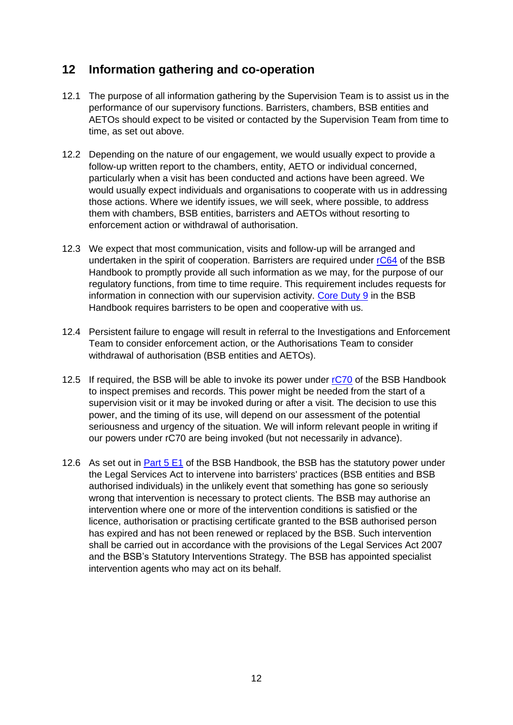## <span id="page-13-0"></span>**12 Information gathering and co-operation**

- 12.1 The purpose of all information gathering by the Supervision Team is to assist us in the performance of our supervisory functions. Barristers, chambers, BSB entities and AETOs should expect to be visited or contacted by the Supervision Team from time to time, as set out above.
- 12.2 Depending on the nature of our engagement, we would usually expect to provide a follow-up written report to the chambers, entity, AETO or individual concerned, particularly when a visit has been conducted and actions have been agreed. We would usually expect individuals and organisations to cooperate with us in addressing those actions. Where we identify issues, we will seek, where possible, to address them with chambers, BSB entities, barristers and AETOs without resorting to enforcement action or withdrawal of authorisation.
- 12.3 We expect that most communication, visits and follow-up will be arranged and undertaken in the spirit of cooperation. Barristers are required under [rC64](https://www.barstandardsboard.org.uk/the-bsb-handbook.html?part=E3FF76D3-9538-4B97-94C02111664E5709&audience=&q=) of the BSB Handbook to promptly provide all such information as we may, for the purpose of our regulatory functions, from time to time require. This requirement includes requests for information in connection with our supervision activity. [Core Duty 9](https://www.barstandardsboard.org.uk/the-bsb-handbook.html?part=E3FF76D3-9538-4B97-94C02111664E5709&audience=&q=) in the BSB Handbook requires barristers to be open and cooperative with us.
- 12.4 Persistent failure to engage will result in referral to the Investigations and Enforcement Team to consider enforcement action, or the Authorisations Team to consider withdrawal of authorisation (BSB entities and AETOs).
- 12.5 If required, the BSB will be able to invoke its power under [rC70](https://www.barstandardsboard.org.uk/the-bsb-handbook.html?part=E3FF76D3-9538-4B97-94C02111664E5709&audience=&q=) of the BSB Handbook to inspect premises and records. This power might be needed from the start of a supervision visit or it may be invoked during or after a visit. The decision to use this power, and the timing of its use, will depend on our assessment of the potential seriousness and urgency of the situation. We will inform relevant people in writing if our powers under rC70 are being invoked (but not necessarily in advance).
- <span id="page-13-1"></span>12.6 As set out in **Part 5 E1** of the BSB Handbook, the BSB has the statutory power under the Legal Services Act to intervene into barristers' practices (BSB entities and BSB authorised individuals) in the unlikely event that something has gone so seriously wrong that intervention is necessary to protect clients. The BSB may authorise an intervention where one or more of the intervention conditions is satisfied or the licence, authorisation or practising certificate granted to the BSB authorised person has expired and has not been renewed or replaced by the BSB. Such intervention shall be carried out in accordance with the provisions of the Legal Services Act 2007 and the BSB's Statutory Interventions Strategy. The BSB has appointed specialist intervention agents who may act on its behalf.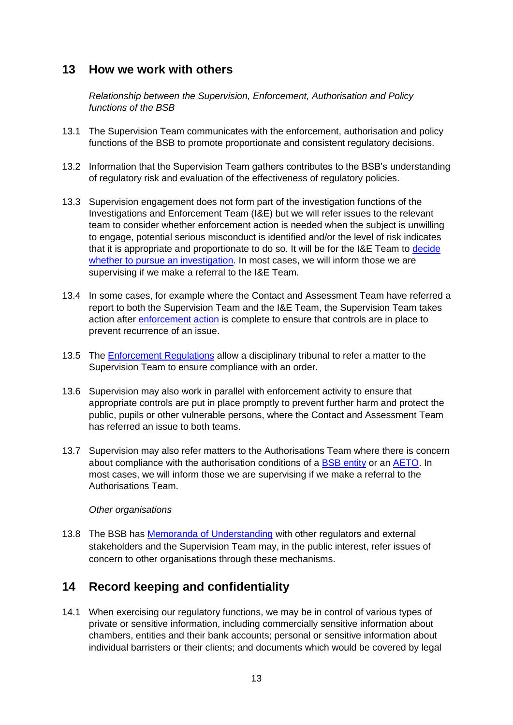## **13 How we work with others**

*Relationship between the Supervision, Enforcement, Authorisation and Policy functions of the BSB*

- 13.1 The Supervision Team communicates with the enforcement, authorisation and policy functions of the BSB to promote proportionate and consistent regulatory decisions.
- 13.2 Information that the Supervision Team gathers contributes to the BSB's understanding of regulatory risk and evaluation of the effectiveness of regulatory policies.
- 13.3 Supervision engagement does not form part of the investigation functions of the Investigations and Enforcement Team (I&E) but we will refer issues to the relevant team to consider whether enforcement action is needed when the subject is unwilling to engage, potential serious misconduct is identified and/or the level of risk indicates that it is appropriate and proportionate to do so. It will be for the I&E Team to [decide](https://www.barstandardsboard.org.uk/about-us/how-we-regulate/the-decisions-we-take/enforcement-decisions/how-we-make-enforcement-decisions.html)  [whether to pursue an investigation.](https://www.barstandardsboard.org.uk/about-us/how-we-regulate/the-decisions-we-take/enforcement-decisions/how-we-make-enforcement-decisions.html) In most cases, we will inform those we are supervising if we make a referral to the I&E Team.
- 13.4 In some cases, for example where the Contact and Assessment Team have referred a report to both the Supervision Team and the I&E Team, the Supervision Team takes action after [enforcement action](https://www.barstandardsboard.org.uk/about-us/what-we-do/taking-enforcement-action.html) is complete to ensure that controls are in place to prevent recurrence of an issue.
- 13.5 The [Enforcement Regulations](https://www.barstandardsboard.org.uk/the-bsb-handbook.html?part=BA9E823E-F26B-496D-9726736F9F069FAC&audience=&q=) allow a disciplinary tribunal to refer a matter to the Supervision Team to ensure compliance with an order.
- 13.6 Supervision may also work in parallel with enforcement activity to ensure that appropriate controls are put in place promptly to prevent further harm and protect the public, pupils or other vulnerable persons, where the Contact and Assessment Team has referred an issue to both teams.
- 13.7 Supervision may also refer matters to the Authorisations Team where there is concern about compliance with the authorisation conditions of a [BSB entity](https://www.barstandardsboard.org.uk/for-barristers/bsb-entities.html) or an [AETO.](https://www.barstandardsboard.org.uk/training-qualification/information-for-aetos/the-authorisation-framework.html) In most cases, we will inform those we are supervising if we make a referral to the Authorisations Team.

#### *Other organisations*

13.8 The BSB has [Memoranda of Understanding](https://www.barstandardsboard.org.uk/about-us/working-with-others.html) with other regulators and external stakeholders and the Supervision Team may, in the public interest, refer issues of concern to other organisations through these mechanisms.

## <span id="page-14-0"></span>**14 Record keeping and confidentiality**

14.1 When exercising our regulatory functions, we may be in control of various types of private or sensitive information, including commercially sensitive information about chambers, entities and their bank accounts; personal or sensitive information about individual barristers or their clients; and documents which would be covered by legal